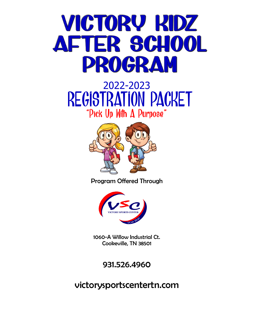# VICTORY RIDZ AFTER SCHOOL PROGRAM

# 2022-2023 REGISTRATION PACKET "Pick Up With A Purpose"



Program Offered Through



1060-A Willow Industrial Ct. Cookeville, TN 38501

931.526.4960

victorysportscentertn.com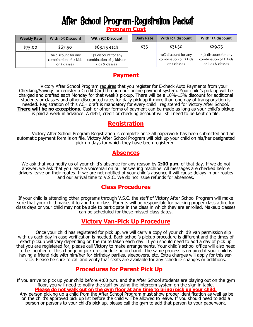# After School Program-Registration Packet **Program Cost**

| <b>Weekly Rate</b> | With 10% Discount                                             | With 15% Discount                                                  | <b>Daily Rate</b> | With 10% discount                                             | With 15% discount                                                  |
|--------------------|---------------------------------------------------------------|--------------------------------------------------------------------|-------------------|---------------------------------------------------------------|--------------------------------------------------------------------|
| \$75.00            | \$67.50                                                       | \$63.75 each                                                       | \$35              | \$31.50                                                       | \$29.75                                                            |
|                    | 10% discount for any<br>combination of 2 kids<br>or 2 classes | 15% discount for any<br>combination of 3 kids or<br>kids & classes |                   | 10% discount for any<br>combination of 2 kids<br>or 2 classes | 15% discount for any<br>combination of 3 kids<br>or kids & classes |

## **Payment**

Victory After School Program requires that you register for E-check Auto Payments from your Checking/Savings or register a Credit Card through our online payment system. Your child's pick up will be charged and drafted each Monday for that week's pickup. There will be a 10%-15% discount for additional students or classes and other discounted rates for daily pick up if more than one day of transportation is needed. Registration of this ACH draft is mandatory for every child registered for Victory After School. **There will be no exceptions.** Cash or other forms of payment can be made as long as your child's pickup is paid a week in advance. A debit, credit or checking account will still need to be kept on file.

#### **Registration**

Victory After School Program Registration is complete once all paperwork has been submitted and an automatic payment form is on file. Victory After School Program will pick up your child on his/her designated pick up days for which they have been registered.

### **Absences**

We ask that you notify us of your child's absence for any reason by **2:00 p.m**. of that day. If we do not answer, we ask that you leave a voicemail on our answering machine. All messages are checked before drivers leave on their routes. If we are not notified of your child's absence it will cause delays in our routes and our arrival time to V.S.C. We do not issue refunds for absences.

#### **Class Procedures**

If your child is attending other programs through V.S.C. the staff of Victory After School Program will make sure that your child makes it to and from class. Parents will be responsible for packing proper class attire for class days or your child may not be able to participate in the class in which they are enrolled. Makeup classes can be scheduled for these missed class dates.

### **Victory Van-Pick Up Procedure**

Once your child has registered for pick up, we will carry a copy of your child's van permission slip with us each day in case verification is needed. Each school's pickup procedure is different and the times of exact pickup will vary depending on the route taken each day. If you should need to add a day of pick up that you are registered for, please call Victory to make arrangements. Your child's school office will also need to be notified of this change in pick up schedule beforehand. The same process is required if your child is having a friend ride with him/her for birthday parties, sleepovers, etc. Extra charges will apply for this service. Please be sure to call and verify that seats are available for any schedule changes or additions.

### **Procedures for Parent Pick Up**

If you arrive to pick up your child before 4:00 p.m. and the After School students are playing out on the gym floor, you will need to notify the staff by using the intercom system on the sign in table. **Please do not walk out on the gym floor at any time to bring/pick up your child.** Any person picking up a child from the After School Program must show proper identification as well as be

on the child's approved pick up list before the child will be allowed to leave. If you should need to add a person or persons to your child's pick up, please call the gym to add that person to your paperwork.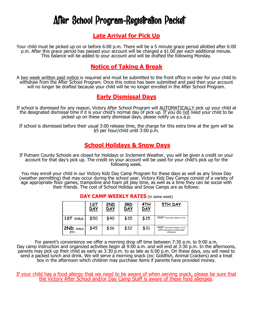# After School Program-Registration Packet

#### **Late Arrival for Pick Up**

Your child must be picked up on or before 6:00 p.m. There will be a 5 minute grace period allotted after 6:00 p.m. After this grace period has passed your account will be charged a \$1.00 per each additional minute. This balance will be added to your account and will be drafted the following Monday.

### **Notice of Taking A Break**

A two week written paid notice is required and must be submitted to the front office in order for your child to withdraw from the After School Program. Once this notice has been submitted and paid then your account will no longer be drafted because your child will be no longer enrolled in the After School Program.

#### **Early Dismissal Days**

If school is dismissed for any reason, Victory After School Program will AUTOMATICALLY pick up your child at the designated dismissal time if it is your child's normal day of pick up. If you do not need your child to be picked up on these early dismissal days, please notify us a.s.a.p.

If school is dismissed before their usual 3:00 release time, the charge for this extra time at the gym will be \$5 per hour/child until 3:00 p.m.

#### **School Holidays & Snow Days**

If Putnam County Schools are closed for Holidays or Inclement Weather, you will be given a credit on your account for that day's pick up. The credit on your account will be used for your child's pick up for the following week.

You may enroll your child in our Victory Kidz Day Camp Program for these days as well as any Snow Day (weather permitting) that may occur during the school year. Victory Kidz Day Camps consist of a variety of age appropriate floor games, trampoline and foam pit play time, as well as a time they can be social with their friends. The cost of School Holiday and Snow Camps are as follows:

|                      | <u>1ST</u><br>DAY | <u>2ND</u><br><b>DAY</b> | <u>3RD</u><br><b>DAY</b> | <u>4TH</u><br><b>DAY</b> | 5TH DAY                                                               |
|----------------------|-------------------|--------------------------|--------------------------|--------------------------|-----------------------------------------------------------------------|
| 1ST CHILD            | \$50              | \$40                     | \$35                     | \$35                     | FREE* REACHED WEEKLY RATE                                             |
| $2ND$ $CHILD$<br>ETC | \$45              | \$36                     | \$32                     | \$31                     | FREE* REACHED WEEKLY RATE<br>(10% discount on additional<br>children) |

#### **DAY CAMP WEEKLY RATES** (in same week)

For parent's convenience we offer a morning drop off time between 7:30 a.m. to 9:00 a.m. Day camp instruction and organized activities begin at 9:00 a.m. and will end at 3:30 p.m. In the afternoons, parents may pick up their child as early as 3:30 p.m. to as late as 6:00 p.m. On these days, you will need to send a packed lunch and drink. We will serve a morning snack (ex: Goldfish, Animal Crackers) and a treat box in the afternoon which children may purchase items if parents have provided money.

If your child has a food allergy that we need to be aware of when serving snack, please be sure that the Victory After School and/or Day Camp Staff is aware of these food allergies.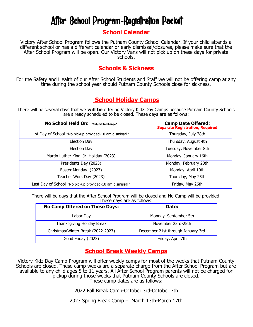# After School Program-Registration Packet

### **School Calendar**

Victory After School Program follows the Putnam County School Calendar. If your child attends a different school or has a different calendar or early dismissal/closures, please make sure that the After School Program will be open. Our Victory Vans will not pick up on these days for private schools.

### **Schools & Sickness**

For the Safety and Health of our After School Students and Staff we will not be offering camp at any time during the school year should Putnam County Schools close for sickness.

# **School Holiday Camps**

There will be several days that we **will be** offering Victory Kidz Day Camps because Putnam County Schools are already scheduled to be closed. These days are as follows:

| No School Held On: *Subject to Change*                  | <b>Camp Date Offered:</b><br>Separate Registration, Required |
|---------------------------------------------------------|--------------------------------------------------------------|
| 1st Day of School *No pickup provided-10 am dismissal*  | Thursday, July 28th                                          |
| Election Day                                            | Thursday, August 4th                                         |
| Election Day                                            | Tuesday, November 8th                                        |
| Martin Luther Kind, Jr. Holiday (2023)                  | Monday, January 16th                                         |
| Presidents Day (2023)                                   | Monday, February 20th                                        |
| Easter Monday (2023)                                    | Monday, April 10th                                           |
| Teacher Work Day (2023)                                 | Thursday, May 25th                                           |
| Last Day of School *No pickup provided-10 am dismissal* | Friday, May 26th                                             |

There will be days that the After School Program will be closed and No Camp will be provided. These days are as follows:

| <b>No Camp Offered on These Days:</b> | Date:                             |
|---------------------------------------|-----------------------------------|
| Labor Day                             | Monday, September 5th             |
| Thanksgiving Holiday Break            | November 23rd-25th                |
| Christmas/Winter Break (2022-2023)    | December 21st through January 3rd |
| Good Friday (2023)                    | Friday, April 7th                 |

### **School Break Weekly Camps**

Victory Kidz Day Camp Program will offer weekly camps for most of the weeks that Putnam County Schools are closed. These camp weeks are a separate charge from the After School Program but are available to any child ages 5 to 11 years. All After School Program parents will not be charged for pickup during those weeks that Putnam County Schools are closed. These camp dates are as follows:

2022 Fall Break Camp-October 3rd-October 7th

2023 Spring Break Camp – March 13th-March 17th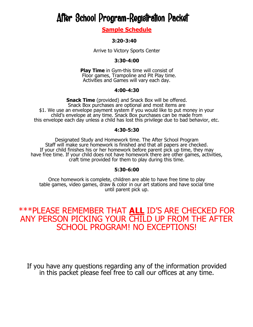# After School Program-Registration Packet

**Sample Schedule** 

#### **3:20-3:40**

Arrive to Victory Sports Center

#### **3:30-4:00**

**Play Time** in Gym-this time will consist of Floor games, Trampoline and Pit Play time. Activities and Games will vary each day.

#### **4:00-4:30**

**Snack Time** (provided) and Snack Box will be offered. Snack Box purchases are optional and most items are \$1. We use an envelope payment system if you would like to put money in your child's envelope at any time. Snack Box purchases can be made from this envelope each day unless a child has lost this privilege due to bad behavior, etc.

#### **4:30-5:30**

Designated Study and Homework time. The After School Program Staff will make sure homework is finished and that all papers are checked. If your child finishes his or her homework before parent pick up time, they may have free time. If your child does not have homework there are other games, activities, craft time provided for them to play during this time.

#### **5:30-6:00**

Once homework is complete, children are able to have free time to play table games, video games, draw & color in our art stations and have social time until parent pick up.

# \*\*\*PLEASE REMEMBER THAT **ALL** ID'S ARE CHECKED FOR ANY PERSON PICKING YOUR CHILD UP FROM THE AFTER SCHOOL PROGRAM! NO EXCEPTIONS!

If you have any questions regarding any of the information provided in this packet please feel free to call our offices at any time.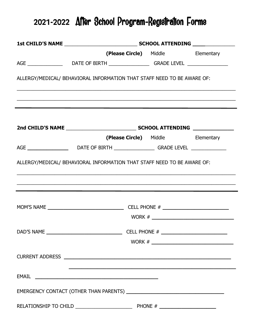# **2021-2022** After School Program-Registration Forms

|                                                                                                                                                             |  | (Please Circle) Middle Mellementary |  |  |  |  |
|-------------------------------------------------------------------------------------------------------------------------------------------------------------|--|-------------------------------------|--|--|--|--|
|                                                                                                                                                             |  |                                     |  |  |  |  |
| ALLERGY/MEDICAL/ BEHAVIORAL INFORMATION THAT STAFF NEED TO BE AWARE OF:                                                                                     |  |                                     |  |  |  |  |
|                                                                                                                                                             |  |                                     |  |  |  |  |
|                                                                                                                                                             |  |                                     |  |  |  |  |
| AGE ___________________________DATE OF BIRTH ___________________GRADE LEVEL _______________________                                                         |  | (Please Circle) Middle Elementary   |  |  |  |  |
| ALLERGY/MEDICAL/ BEHAVIORAL INFORMATION THAT STAFF NEED TO BE AWARE OF:<br>,我们也不会有什么。""我们的人,我们也不会有什么?""我们的人,我们也不会有什么?""我们的人,我们也不会有什么?""我们的人,我们也不会有什么?""我们的人 |  |                                     |  |  |  |  |
|                                                                                                                                                             |  |                                     |  |  |  |  |
|                                                                                                                                                             |  |                                     |  |  |  |  |
|                                                                                                                                                             |  |                                     |  |  |  |  |
|                                                                                                                                                             |  |                                     |  |  |  |  |
|                                                                                                                                                             |  |                                     |  |  |  |  |
|                                                                                                                                                             |  |                                     |  |  |  |  |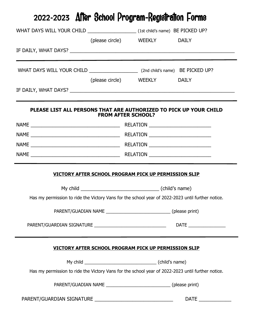| 2022-2023 After School Program-Registration Forms    |                                                                                                   |  |  |  |
|------------------------------------------------------|---------------------------------------------------------------------------------------------------|--|--|--|
|                                                      |                                                                                                   |  |  |  |
|                                                      | (please circle) WEEKLY DAILY                                                                      |  |  |  |
|                                                      |                                                                                                   |  |  |  |
|                                                      |                                                                                                   |  |  |  |
|                                                      | (please circle) WEEKLY DAILY                                                                      |  |  |  |
|                                                      |                                                                                                   |  |  |  |
|                                                      | PLEASE LIST ALL PERSONS THAT ARE AUTHORIZED TO PICK UP YOUR CHILD<br><b>FROM AFTER SCHOOL?</b>    |  |  |  |
|                                                      |                                                                                                   |  |  |  |
|                                                      |                                                                                                   |  |  |  |
|                                                      |                                                                                                   |  |  |  |
|                                                      |                                                                                                   |  |  |  |
|                                                      | VICTORY AFTER SCHOOL PROGRAM PICK UP PERMISSION SLIP                                              |  |  |  |
|                                                      | Has my permission to ride the Victory Vans for the school year of 2022-2023 until further notice. |  |  |  |
|                                                      |                                                                                                   |  |  |  |
|                                                      |                                                                                                   |  |  |  |
| VICTORY AFTER SCHOOL PROGRAM PICK UP PERMISSION SLIP |                                                                                                   |  |  |  |
|                                                      |                                                                                                   |  |  |  |
|                                                      | Has my permission to ride the Victory Vans for the school year of 2022-2023 until further notice. |  |  |  |
|                                                      |                                                                                                   |  |  |  |
|                                                      | <b>DATE</b>                                                                                       |  |  |  |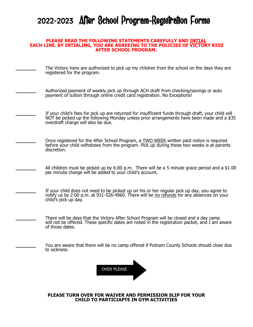# **2022-2023** After School Program-Registration Forms

#### **PLEASE READ THE FOLLOWING STATEMENTS CAREFULLY AND INTIAL EACH LINE. BY INTIALING, YOU ARE AGREEING TO THE POLICIES OF VICTORY KIDZ AFTER SCHOOL PROGRAM.**

The Victory Vans are authorized to pick up my children from the school on the days they are registered for the program.

**\_\_\_\_\_\_\_** Authorized payment of weekly pick up through ACH draft from checking/savings or auto payment of tuition through online credit card registration. No Exceptions!

**The Liftu** Strees for pick up are returned for insufficient funds through draft, your child will NOT be picked up the following Monday unless prior arrangements have been made and a \$35 overdraft charge will also be due.

Once registered for the After School Program, a TWO WEEK written paid notice is required before your child withdraws from the program. Pick up during these two weeks is at parents discretion.

**\_\_\_\_\_\_\_** All children must be picked up by 6:00 p.m. There will be a 5 minute grace period and a \$1.00 per minute charge will be added to your child's account.

**\_\_\_\_\_\_\_** If your child does not need to be picked up on his or her regular pick up day, you agree to notify us by 2:00 p.m. at 931-526-4960. There will be no refunds for any absences on your child's pick up day.

**\_\_\_\_\_\_\_** There will be days that the Victory After School Program will be closed and a day camp will not be offered. These specific dates are noted in the registration packet, and I am aware of those dates.

**\_\_\_\_\_\_\_** You are aware that there will be no camp offered if Putnam County Schools should close due to sickness.



**PLEASE TURN OVER FOR WAIVER AND PERMISSION SLIP FOR YOUR CHILD TO PARTICIAPTE IN GYM ACTIVITIES**